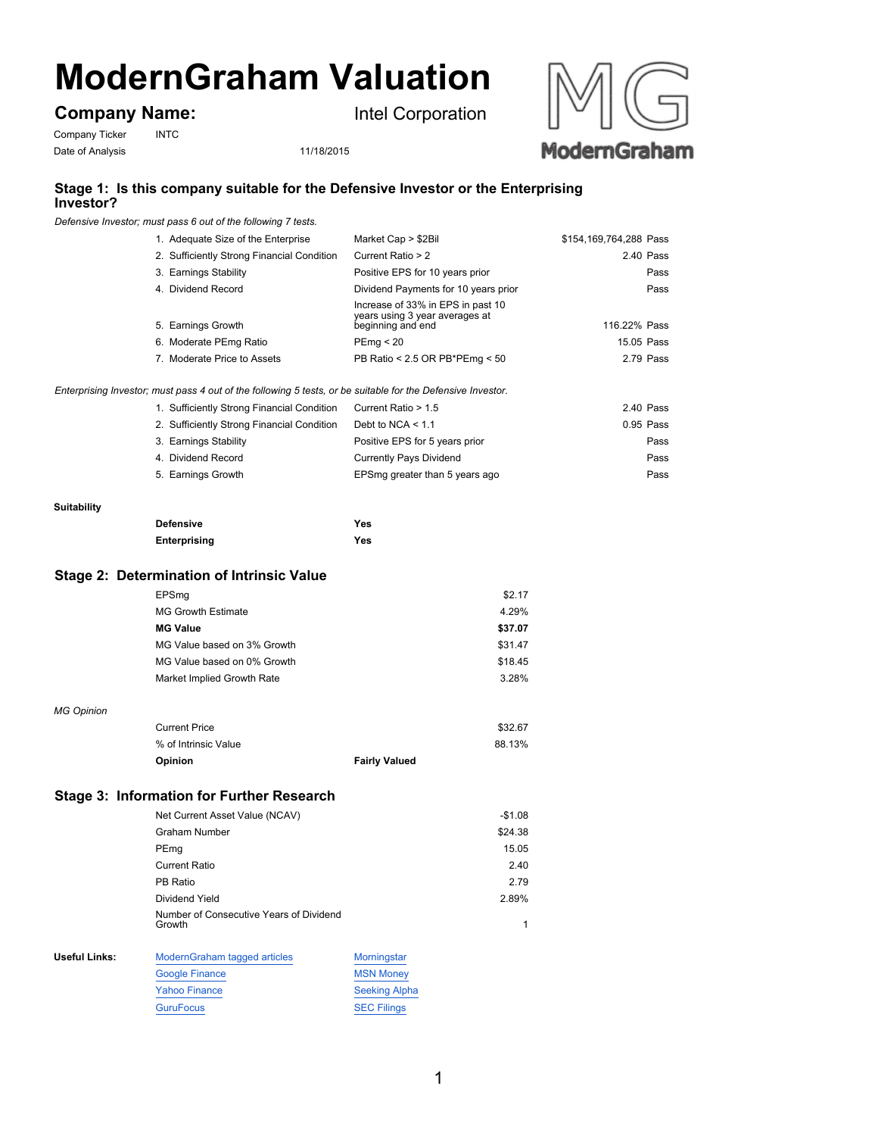# **ModernGraham Valuation**

## **Company Name:**

Company Ticker INTC

Date of Analysis 11/18/2015



## **Stage 1: Is this company suitable for the Defensive Investor or the Enterprising Investor?**

*Defensive Investor; must pass 6 out of the following 7 tests.*

| 1. Adequate Size of the Enterprise         | Market Cap > \$2Bil                                                                      | \$154,169,764,288 Pass |
|--------------------------------------------|------------------------------------------------------------------------------------------|------------------------|
| 2. Sufficiently Strong Financial Condition | Current Ratio > 2                                                                        | 2.40 Pass              |
| 3. Earnings Stability                      | Positive EPS for 10 years prior                                                          | Pass                   |
| 4. Dividend Record                         | Dividend Payments for 10 years prior                                                     | Pass                   |
| 5. Earnings Growth                         | Increase of 33% in EPS in past 10<br>years using 3 year averages at<br>beginning and end | 116.22% Pass           |
| 6. Moderate PEmg Ratio                     | PEmq < 20                                                                                | 15.05 Pass             |
| 7. Moderate Price to Assets                | PB Ratio < 2.5 OR PB*PEmg < 50                                                           | 2.79 Pass              |
|                                            |                                                                                          |                        |

Intel Corporation

*Enterprising Investor; must pass 4 out of the following 5 tests, or be suitable for the Defensive Investor.*

| 1. Sufficiently Strong Financial Condition | Current Ratio > 1.5            | 2.40 Pass   |
|--------------------------------------------|--------------------------------|-------------|
| 2. Sufficiently Strong Financial Condition | Debt to NCA $< 1.1$            | $0.95$ Pass |
| 3. Earnings Stability                      | Positive EPS for 5 years prior | Pass        |
| 4. Dividend Record                         | <b>Currently Pays Dividend</b> | Pass        |
| 5. Earnings Growth                         | EPSmg greater than 5 years ago | Pass        |

#### **Suitability**

| <b>Defensive</b>    | Yes |
|---------------------|-----|
| <b>Enterprising</b> | Yes |

#### **Stage 2: Determination of Intrinsic Value**

|                      | EPSmq                                             | \$2.17               |   |
|----------------------|---------------------------------------------------|----------------------|---|
|                      | <b>MG Growth Estimate</b>                         | 4.29%                |   |
|                      | <b>MG Value</b>                                   | \$37.07              |   |
|                      | MG Value based on 3% Growth                       | \$31.47              |   |
|                      | MG Value based on 0% Growth                       | \$18.45              |   |
|                      | Market Implied Growth Rate                        | 3.28%                |   |
| <b>MG Opinion</b>    |                                                   |                      |   |
|                      | <b>Current Price</b>                              | \$32.67              |   |
|                      | % of Intrinsic Value                              | 88.13%               |   |
|                      | Opinion                                           | <b>Fairly Valued</b> |   |
|                      |                                                   |                      |   |
|                      | <b>Stage 3: Information for Further Research</b>  |                      |   |
|                      | Net Current Asset Value (NCAV)                    | $-$1.08$             |   |
|                      | <b>Graham Number</b>                              | \$24.38              |   |
|                      | PEmg                                              | 15.05                |   |
|                      | <b>Current Ratio</b>                              | 2.40                 |   |
|                      | PB Ratio                                          | 2.79                 |   |
|                      | Dividend Yield                                    | 2.89%                |   |
|                      | Number of Consecutive Years of Dividend<br>Growth |                      | 1 |
| <b>Useful Links:</b> | ModernGraham tagged articles                      | Morningstar          |   |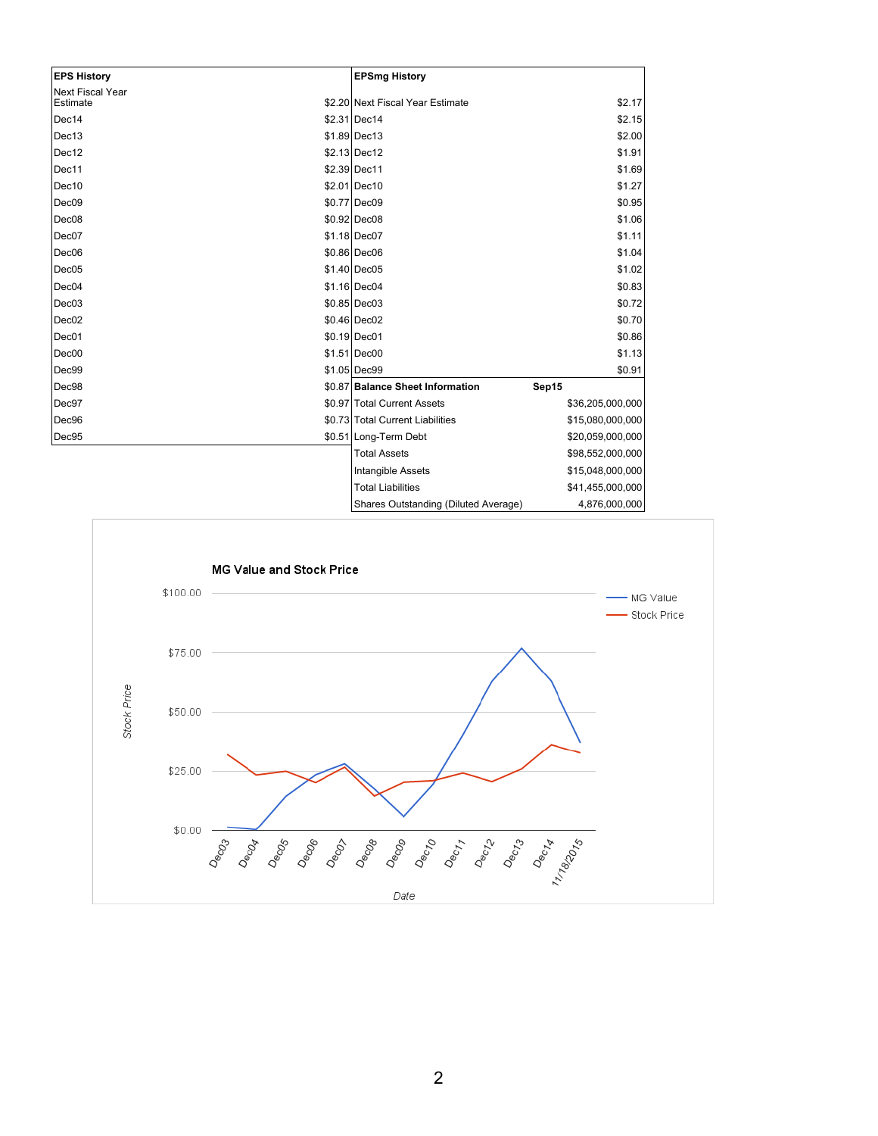| <b>EPS History</b>                  | <b>EPSmg History</b>             |                  |
|-------------------------------------|----------------------------------|------------------|
| <b>Next Fiscal Year</b><br>Estimate | \$2.20 Next Fiscal Year Estimate | \$2.17           |
| Dec14                               | \$2.31 Dec14                     | \$2.15           |
| Dec13                               | $$1.89$ Dec13                    | \$2.00           |
| Dec12                               | \$2.13 Dec12                     | \$1.91           |
| Dec11                               | \$2.39 Dec11                     | \$1.69           |
| Dec10                               | \$2.01 Dec10                     | \$1.27           |
| Dec <sub>09</sub>                   | \$0.77 Dec09                     | \$0.95           |
| Dec08                               | \$0.92 Dec08                     | \$1.06           |
| Dec07                               | \$1.18 Dec07                     | \$1.11           |
| Dec <sub>06</sub>                   | \$0.86 Dec06                     | \$1.04           |
| Dec05                               | \$1.40 Dec05                     | \$1.02           |
| Dec04                               | \$1.16 Dec04                     | \$0.83           |
| Dec <sub>03</sub>                   | $$0.85$ Dec03                    | \$0.72           |
| Dec <sub>02</sub>                   | \$0.46 Dec02                     | \$0.70           |
| Dec01                               | \$0.19 Dec01                     | \$0.86           |
| Dec00                               | \$1.51 Dec00                     | \$1.13           |
| Dec99                               | \$1.05 Dec99                     | \$0.91           |
| Dec98                               | \$0.87 Balance Sheet Information | Sep15            |
| Dec97                               | \$0.97 Total Current Assets      | \$36,205,000,000 |
| Dec96                               | \$0.73 Total Current Liabilities | \$15,080,000,000 |
| Dec95                               | \$0.51 Long-Term Debt            | \$20,059,000,000 |
|                                     | <b>Total Assets</b>              | \$98,552,000,000 |
|                                     | Intangible Assets                | \$15,048,000,000 |
|                                     | <b>Total Liabilities</b>         | \$41,455,000,000 |